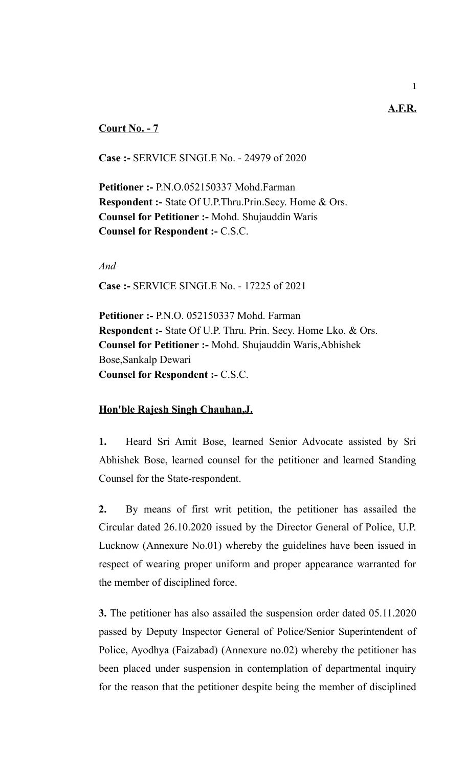## **Court No. - 7**

**Case :-** SERVICE SINGLE No. - 24979 of 2020

**Petitioner :-** P.N.O.052150337 Mohd.Farman **Respondent :-** State Of U.P.Thru.Prin.Secy. Home & Ors. **Counsel for Petitioner :-** Mohd. Shujauddin Waris **Counsel for Respondent :-** C.S.C.

*And*

**Case :-** SERVICE SINGLE No. - 17225 of 2021

**Petitioner :-** P.N.O. 052150337 Mohd. Farman **Respondent :-** State Of U.P. Thru. Prin. Secy. Home Lko. & Ors. **Counsel for Petitioner :-** Mohd. Shujauddin Waris,Abhishek Bose,Sankalp Dewari **Counsel for Respondent :-** C.S.C.

## **Hon'ble Rajesh Singh Chauhan,J.**

**1.** Heard Sri Amit Bose, learned Senior Advocate assisted by Sri Abhishek Bose, learned counsel for the petitioner and learned Standing Counsel for the State-respondent.

**2.** By means of first writ petition, the petitioner has assailed the Circular dated 26.10.2020 issued by the Director General of Police, U.P. Lucknow (Annexure No.01) whereby the guidelines have been issued in respect of wearing proper uniform and proper appearance warranted for the member of disciplined force.

**3.** The petitioner has also assailed the suspension order dated 05.11.2020 passed by Deputy Inspector General of Police/Senior Superintendent of Police, Ayodhya (Faizabad) (Annexure no.02) whereby the petitioner has been placed under suspension in contemplation of departmental inquiry for the reason that the petitioner despite being the member of disciplined

**A.F.R.**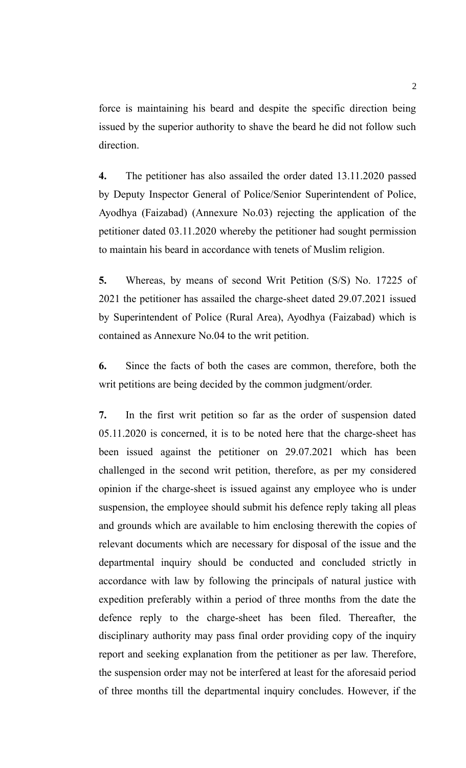force is maintaining his beard and despite the specific direction being issued by the superior authority to shave the beard he did not follow such direction.

**4.** The petitioner has also assailed the order dated 13.11.2020 passed by Deputy Inspector General of Police/Senior Superintendent of Police, Ayodhya (Faizabad) (Annexure No.03) rejecting the application of the petitioner dated 03.11.2020 whereby the petitioner had sought permission to maintain his beard in accordance with tenets of Muslim religion.

**5.** Whereas, by means of second Writ Petition (S/S) No. 17225 of 2021 the petitioner has assailed the charge-sheet dated 29.07.2021 issued by Superintendent of Police (Rural Area), Ayodhya (Faizabad) which is contained as Annexure No.04 to the writ petition.

**6.** Since the facts of both the cases are common, therefore, both the writ petitions are being decided by the common judgment/order.

**7.** In the first writ petition so far as the order of suspension dated 05.11.2020 is concerned, it is to be noted here that the charge-sheet has been issued against the petitioner on 29.07.2021 which has been challenged in the second writ petition, therefore, as per my considered opinion if the charge-sheet is issued against any employee who is under suspension, the employee should submit his defence reply taking all pleas and grounds which are available to him enclosing therewith the copies of relevant documents which are necessary for disposal of the issue and the departmental inquiry should be conducted and concluded strictly in accordance with law by following the principals of natural justice with expedition preferably within a period of three months from the date the defence reply to the charge-sheet has been filed. Thereafter, the disciplinary authority may pass final order providing copy of the inquiry report and seeking explanation from the petitioner as per law. Therefore, the suspension order may not be interfered at least for the aforesaid period of three months till the departmental inquiry concludes. However, if the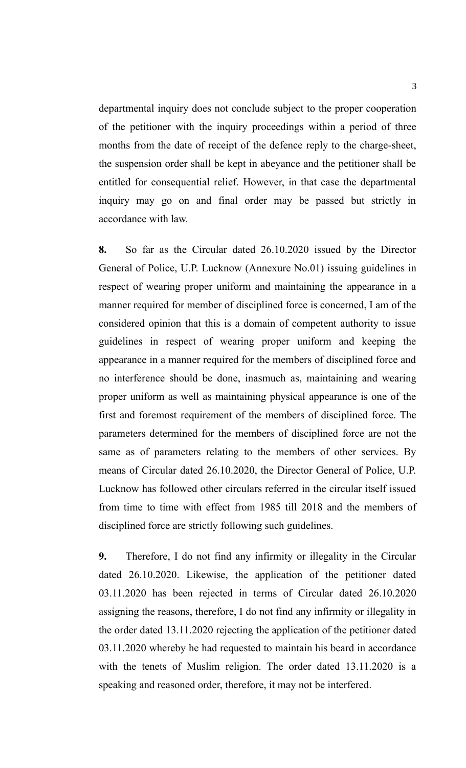departmental inquiry does not conclude subject to the proper cooperation of the petitioner with the inquiry proceedings within a period of three months from the date of receipt of the defence reply to the charge-sheet, the suspension order shall be kept in abeyance and the petitioner shall be entitled for consequential relief. However, in that case the departmental inquiry may go on and final order may be passed but strictly in accordance with law.

**8.** So far as the Circular dated 26.10.2020 issued by the Director General of Police, U.P. Lucknow (Annexure No.01) issuing guidelines in respect of wearing proper uniform and maintaining the appearance in a manner required for member of disciplined force is concerned, I am of the considered opinion that this is a domain of competent authority to issue guidelines in respect of wearing proper uniform and keeping the appearance in a manner required for the members of disciplined force and no interference should be done, inasmuch as, maintaining and wearing proper uniform as well as maintaining physical appearance is one of the first and foremost requirement of the members of disciplined force. The parameters determined for the members of disciplined force are not the same as of parameters relating to the members of other services. By means of Circular dated 26.10.2020, the Director General of Police, U.P. Lucknow has followed other circulars referred in the circular itself issued from time to time with effect from 1985 till 2018 and the members of disciplined force are strictly following such guidelines.

**9.** Therefore, I do not find any infirmity or illegality in the Circular dated 26.10.2020. Likewise, the application of the petitioner dated 03.11.2020 has been rejected in terms of Circular dated 26.10.2020 assigning the reasons, therefore, I do not find any infirmity or illegality in the order dated 13.11.2020 rejecting the application of the petitioner dated 03.11.2020 whereby he had requested to maintain his beard in accordance with the tenets of Muslim religion. The order dated 13.11.2020 is a speaking and reasoned order, therefore, it may not be interfered.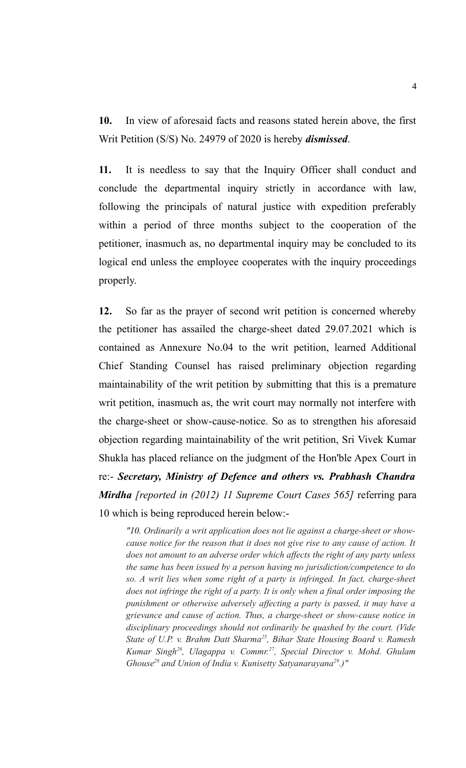**10.** In view of aforesaid facts and reasons stated herein above, the first Writ Petition (S/S) No. 24979 of 2020 is hereby *dismissed*.

**11.** It is needless to say that the Inquiry Officer shall conduct and conclude the departmental inquiry strictly in accordance with law, following the principals of natural justice with expedition preferably within a period of three months subject to the cooperation of the petitioner, inasmuch as, no departmental inquiry may be concluded to its logical end unless the employee cooperates with the inquiry proceedings properly.

**12.** So far as the prayer of second writ petition is concerned whereby the petitioner has assailed the charge-sheet dated 29.07.2021 which is contained as Annexure No.04 to the writ petition, learned Additional Chief Standing Counsel has raised preliminary objection regarding maintainability of the writ petition by submitting that this is a premature writ petition, inasmuch as, the writ court may normally not interfere with the charge-sheet or show-cause-notice. So as to strengthen his aforesaid objection regarding maintainability of the writ petition, Sri Vivek Kumar Shukla has placed reliance on the judgment of the Hon'ble Apex Court in re:- *Secretary, Ministry of Defence and others vs. Prabhash Chandra Mirdha [reported in (2012) 11 Supreme Court Cases 565]* referring para 10 which is being reproduced herein below:-

*"10. Ordinarily a writ application does not lie against a charge-sheet or showcause notice for the reason that it does not give rise to any cause of action. It does not amount to an adverse order which affects the right of any party unless the same has been issued by a person having no jurisdiction/competence to do so. A writ lies when some right of a party is infringed. In fact, charge-sheet does not infringe the right of a party. It is only when a final order imposing the punishment or otherwise adversely affecting a party is passed, it may have a grievance and cause of action. Thus, a charge-sheet or show-cause notice in disciplinary proceedings should not ordinarily be quashed by the court. (Vide State of U.P. v. Brahm Datt Sharma<sup>25</sup>, Bihar State Housing Board v. Ramesh Kumar Singh<sup>26</sup>, Ulagappa v. Commr.<sup>27</sup>, Special Director v. Mohd. Ghulam Ghouse28 and Union of India v. Kunisetty Satyanarayana29.)"*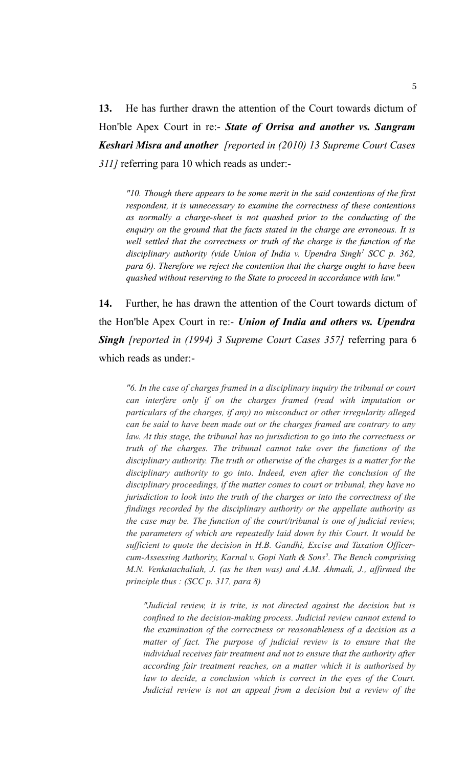**13.** He has further drawn the attention of the Court towards dictum of Hon'ble Apex Court in re:- *State of Orrisa and another vs. Sangram Keshari Misra and another [reported in (2010) 13 Supreme Court Cases 311]* referring para 10 which reads as under:-

*"10. Though there appears to be some merit in the said contentions of the first respondent, it is unnecessary to examine the correctness of these contentions as normally a charge-sheet is not quashed prior to the conducting of the enquiry on the ground that the facts stated in the charge are erroneous. It is well settled that the correctness or truth of the charge is the function of the disciplinary authority (vide Union of India v. Upendra Singh<sup>1</sup> SCC p. 362, para 6). Therefore we reject the contention that the charge ought to have been quashed without reserving to the State to proceed in accordance with law."*

**14.** Further, he has drawn the attention of the Court towards dictum of the Hon'ble Apex Court in re:- *Union of India and others vs. Upendra Singh [reported in (1994) 3 Supreme Court Cases 357]* referring para 6 which reads as under:-

*"6. In the case of charges framed in a disciplinary inquiry the tribunal or court can interfere only if on the charges framed (read with imputation or particulars of the charges, if any) no misconduct or other irregularity alleged can be said to have been made out or the charges framed are contrary to any law. At this stage, the tribunal has no jurisdiction to go into the correctness or truth of the charges. The tribunal cannot take over the functions of the disciplinary authority. The truth or otherwise of the charges is a matter for the disciplinary authority to go into. Indeed, even after the conclusion of the disciplinary proceedings, if the matter comes to court or tribunal, they have no jurisdiction to look into the truth of the charges or into the correctness of the findings recorded by the disciplinary authority or the appellate authority as the case may be. The function of the court/tribunal is one of judicial review, the parameters of which are repeatedly laid down by this Court. It would be sufficient to quote the decision in H.B. Gandhi, Excise and Taxation Officercum-Assessing Authority, Karnal v. Gopi Nath & Sons<sup>5</sup> . The Bench comprising M.N. Venkatachaliah, J. (as he then was) and A.M. Ahmadi, J., affirmed the principle thus : (SCC p. 317, para 8)*

*"Judicial review, it is trite, is not directed against the decision but is confined to the decision-making process. Judicial review cannot extend to the examination of the correctness or reasonableness of a decision as a matter of fact. The purpose of judicial review is to ensure that the individual receives fair treatment and not to ensure that the authority after according fair treatment reaches, on a matter which it is authorised by law to decide, a conclusion which is correct in the eyes of the Court. Judicial review is not an appeal from a decision but a review of the*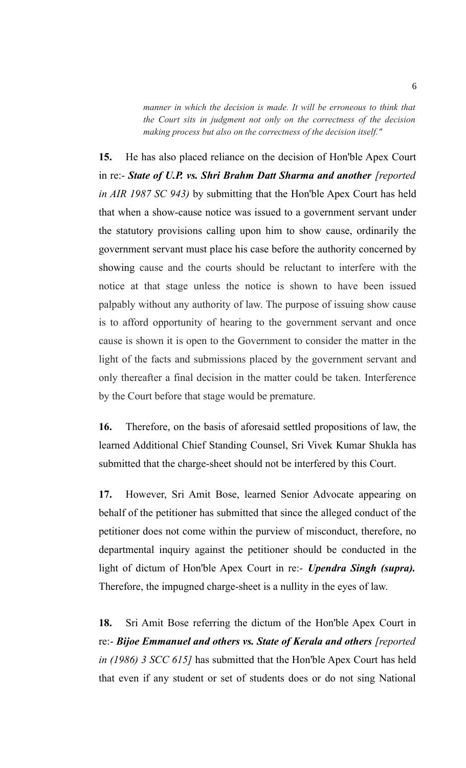*manner in which the decision is made. It will be erroneous to think that the Court sits in judgment not only on the correctness of the decision making process but also on the correctness of the decision itself."*

**15.** He has also placed reliance on the decision of Hon'ble Apex Court in re:- *State of U.P. vs. Shri Brahm Datt Sharma and another [reported in AIR 1987 SC 943)* by submitting that the Hon'ble Apex Court has held that when a show-cause notice was issued to a government servant under the statutory provisions calling upon him to show cause, ordinarily the government servant must place his case before the authority concerned by showing cause and the courts should be reluctant to interfere with the notice at that stage unless the notice is shown to have been issued palpably without any authority of law. The purpose of issuing show cause is to afford opportunity of hearing to the government servant and once cause is shown it is open to the Government to consider the matter in the light of the facts and submissions placed by the government servant and only thereafter a final decision in the matter could be taken. Interference by the Court before that stage would be premature.

**16.** Therefore, on the basis of aforesaid settled propositions of law, the learned Additional Chief Standing Counsel, Sri Vivek Kumar Shukla has submitted that the charge-sheet should not be interfered by this Court.

**17.** However, Sri Amit Bose, learned Senior Advocate appearing on behalf of the petitioner has submitted that since the alleged conduct of the petitioner does not come within the purview of misconduct, therefore, no departmental inquiry against the petitioner should be conducted in the light of dictum of Hon'ble Apex Court in re:- *Upendra Singh (supra).* Therefore, the impugned charge-sheet is a nullity in the eyes of law.

**18.** Sri Amit Bose referring the dictum of the Hon'ble Apex Court in re:- *Bijoe Emmanuel and others vs. State of Kerala and others [reported in (1986) 3 SCC 615]* has submitted that the Hon'ble Apex Court has held that even if any student or set of students does or do not sing National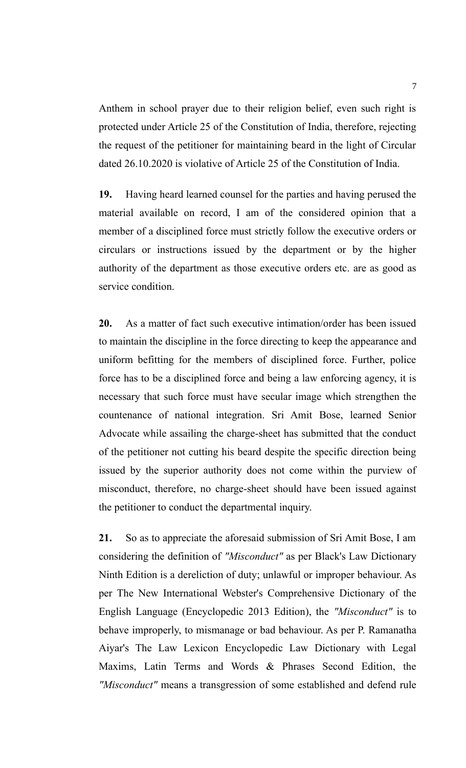Anthem in school prayer due to their religion belief, even such right is protected under Article 25 of the Constitution of India, therefore, rejecting the request of the petitioner for maintaining beard in the light of Circular dated 26.10.2020 is violative of Article 25 of the Constitution of India.

**19.** Having heard learned counsel for the parties and having perused the material available on record, I am of the considered opinion that a member of a disciplined force must strictly follow the executive orders or circulars or instructions issued by the department or by the higher authority of the department as those executive orders etc. are as good as service condition.

**20.** As a matter of fact such executive intimation/order has been issued to maintain the discipline in the force directing to keep the appearance and uniform befitting for the members of disciplined force. Further, police force has to be a disciplined force and being a law enforcing agency, it is necessary that such force must have secular image which strengthen the countenance of national integration. Sri Amit Bose, learned Senior Advocate while assailing the charge-sheet has submitted that the conduct of the petitioner not cutting his beard despite the specific direction being issued by the superior authority does not come within the purview of misconduct, therefore, no charge-sheet should have been issued against the petitioner to conduct the departmental inquiry.

**21.** So as to appreciate the aforesaid submission of Sri Amit Bose, I am considering the definition of *"Misconduct"* as per Black's Law Dictionary Ninth Edition is a dereliction of duty; unlawful or improper behaviour. As per The New International Webster's Comprehensive Dictionary of the English Language (Encyclopedic 2013 Edition), the *"Misconduct"* is to behave improperly, to mismanage or bad behaviour. As per P. Ramanatha Aiyar's The Law Lexicon Encyclopedic Law Dictionary with Legal Maxims, Latin Terms and Words & Phrases Second Edition, the *"Misconduct"* means a transgression of some established and defend rule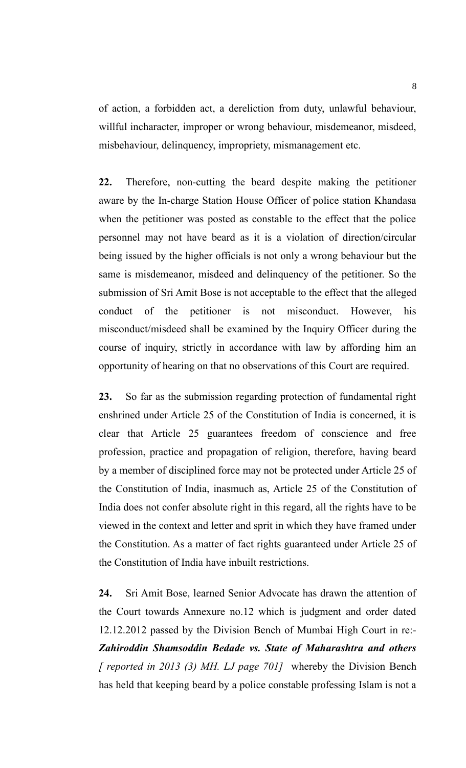of action, a forbidden act, a dereliction from duty, unlawful behaviour, willful incharacter, improper or wrong behaviour, misdemeanor, misdeed, misbehaviour, delinquency, impropriety, mismanagement etc.

**22.** Therefore, non-cutting the beard despite making the petitioner aware by the In-charge Station House Officer of police station Khandasa when the petitioner was posted as constable to the effect that the police personnel may not have beard as it is a violation of direction/circular being issued by the higher officials is not only a wrong behaviour but the same is misdemeanor, misdeed and delinquency of the petitioner. So the submission of Sri Amit Bose is not acceptable to the effect that the alleged conduct of the petitioner is not misconduct. However, his misconduct/misdeed shall be examined by the Inquiry Officer during the course of inquiry, strictly in accordance with law by affording him an opportunity of hearing on that no observations of this Court are required.

**23.** So far as the submission regarding protection of fundamental right enshrined under Article 25 of the Constitution of India is concerned, it is clear that Article 25 guarantees freedom of conscience and free profession, practice and propagation of religion, therefore, having beard by a member of disciplined force may not be protected under Article 25 of the Constitution of India, inasmuch as, Article 25 of the Constitution of India does not confer absolute right in this regard, all the rights have to be viewed in the context and letter and sprit in which they have framed under the Constitution. As a matter of fact rights guaranteed under Article 25 of the Constitution of India have inbuilt restrictions.

**24.** Sri Amit Bose, learned Senior Advocate has drawn the attention of the Court towards Annexure no.12 which is judgment and order dated 12.12.2012 passed by the Division Bench of Mumbai High Court in re:- *Zahiroddin Shamsoddin Bedade vs. State of Maharashtra and others [ reported in 2013 (3) MH. LJ page 701]* whereby the Division Bench has held that keeping beard by a police constable professing Islam is not a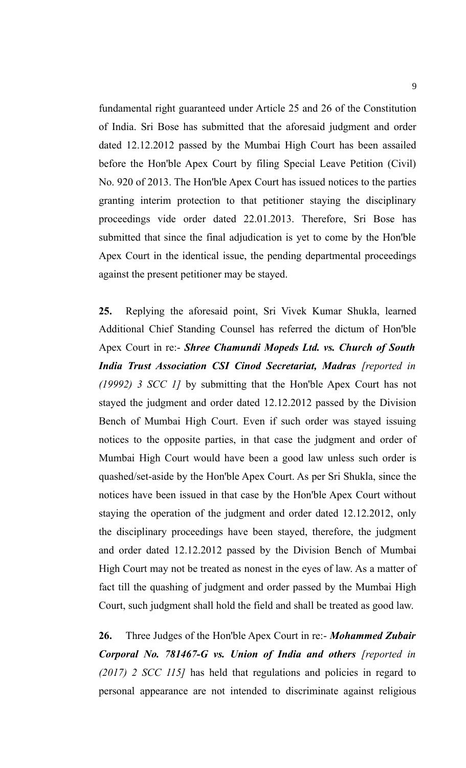fundamental right guaranteed under Article 25 and 26 of the Constitution of India. Sri Bose has submitted that the aforesaid judgment and order dated 12.12.2012 passed by the Mumbai High Court has been assailed before the Hon'ble Apex Court by filing Special Leave Petition (Civil) No. 920 of 2013. The Hon'ble Apex Court has issued notices to the parties granting interim protection to that petitioner staying the disciplinary proceedings vide order dated 22.01.2013. Therefore, Sri Bose has submitted that since the final adjudication is yet to come by the Hon'ble Apex Court in the identical issue, the pending departmental proceedings against the present petitioner may be stayed.

**25.** Replying the aforesaid point, Sri Vivek Kumar Shukla, learned Additional Chief Standing Counsel has referred the dictum of Hon'ble Apex Court in re:- *Shree Chamundi Mopeds Ltd. vs. Church of South* **India Trust Association CSI Cinod Secretariat, Madras** [reported in *(19992) 3 SCC 1]* by submitting that the Hon'ble Apex Court has not stayed the judgment and order dated 12.12.2012 passed by the Division Bench of Mumbai High Court. Even if such order was stayed issuing notices to the opposite parties, in that case the judgment and order of Mumbai High Court would have been a good law unless such order is quashed/set-aside by the Hon'ble Apex Court. As per Sri Shukla, since the notices have been issued in that case by the Hon'ble Apex Court without staying the operation of the judgment and order dated 12.12.2012, only the disciplinary proceedings have been stayed, therefore, the judgment and order dated 12.12.2012 passed by the Division Bench of Mumbai High Court may not be treated as nonest in the eyes of law. As a matter of fact till the quashing of judgment and order passed by the Mumbai High Court, such judgment shall hold the field and shall be treated as good law.

**26.** Three Judges of the Hon'ble Apex Court in re:- *Mohammed Zubair Corporal No. 781467-G vs. Union of India and others [reported in (2017) 2 SCC 115]* has held that regulations and policies in regard to personal appearance are not intended to discriminate against religious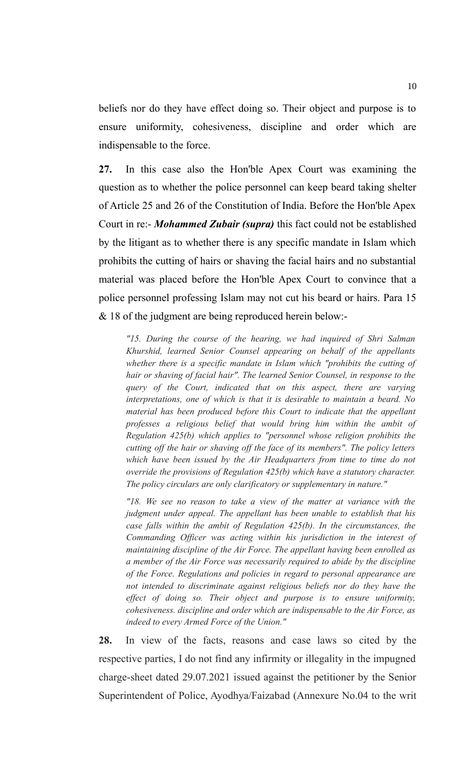beliefs nor do they have effect doing so. Their object and purpose is to ensure uniformity, cohesiveness, discipline and order which are indispensable to the force.

**27.** In this case also the Hon'ble Apex Court was examining the question as to whether the police personnel can keep beard taking shelter of Article 25 and 26 of the Constitution of India. Before the Hon'ble Apex Court in re:- *Mohammed Zubair (supra)* this fact could not be established by the litigant as to whether there is any specific mandate in Islam which prohibits the cutting of hairs or shaving the facial hairs and no substantial material was placed before the Hon'ble Apex Court to convince that a police personnel professing Islam may not cut his beard or hairs. Para 15 & 18 of the judgment are being reproduced herein below:-

*"15. During the course of the hearing, we had inquired of Shri Salman Khurshid, learned Senior Counsel appearing on behalf of the appellants whether there is a specific mandate in Islam which "prohibits the cutting of hair or shaving of facial hair". The learned Senior Counsel, in response to the query of the Court, indicated that on this aspect, there are varying interpretations, one of which is that it is desirable to maintain a beard. No material has been produced before this Court to indicate that the appellant professes a religious belief that would bring him within the ambit of Regulation 425(b) which applies to "personnel whose religion prohibits the cutting off the hair or shaving off the face of its members". The policy letters which have been issued by the Air Headquarters from time to time do not override the provisions of Regulation 425(b) which have a statutory character. The policy circulars are only clarificatory or supplementary in nature."*

*"18. We see no reason to take a view of the matter at variance with the judgment under appeal. The appellant has been unable to establish that his case falls within the ambit of Regulation 425(b). In the circumstances, the Commanding Officer was acting within his jurisdiction in the interest of maintaining discipline of the Air Force. The appellant having been enrolled as a member of the Air Force was necessarily required to abide by the discipline of the Force. Regulations and policies in regard to personal appearance are not intended to discriminate against religious beliefs nor do they have the effect of doing so. Their object and purpose is to ensure uniformity, cohesiveness. discipline and order which are indispensable to the Air Force, as indeed to every Armed Force of the Union."*

**28.** In view of the facts, reasons and case laws so cited by the respective parties, I do not find any infirmity or illegality in the impugned charge-sheet dated 29.07.2021 issued against the petitioner by the Senior Superintendent of Police, Ayodhya/Faizabad (Annexure No.04 to the writ